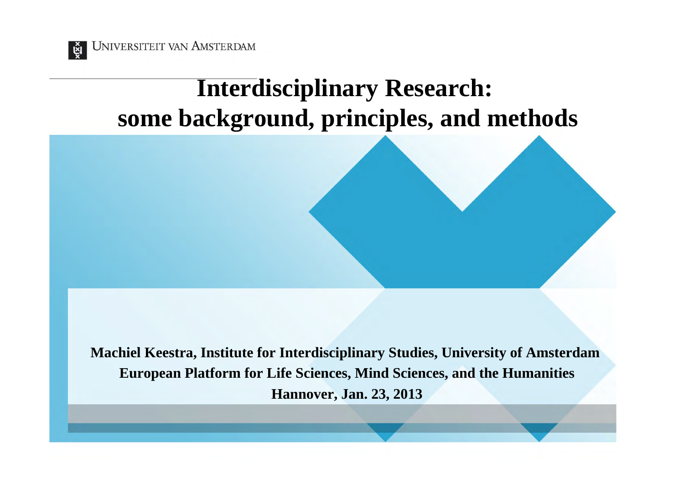

UNIVERSITEIT VAN AMSTERDAM

#### **Interdisciplinary Research: some background, principles, and methods**

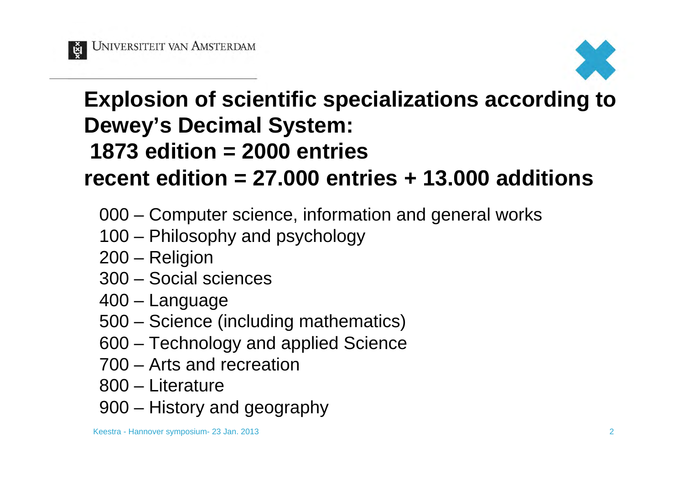



#### **Explosion of scientific specializations according to Dewey's Decimal System: 1873 edition = 2000 entries recent edition = 27.000 entries + 13.000 additions**

- 000 Computer science, information and general works
- 100 Philosophy and psychology
- 200 Religion
- 300 Social sciences
- 400 Language
- 500 Science (including mathematics)
- 600 Technology and applied Science
- 700 Arts and recreation
- 800 Literature
- 900 History and geography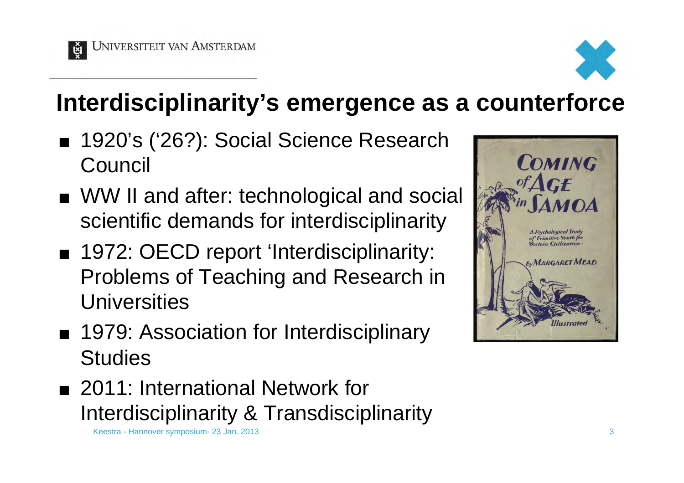

## **Interdisciplinarity's emergence as a counterforce**

- 1920's ('26?): Social Science Research **Council**
- WW II and after: technological and social scientific demands for interdisciplinarity
- 1972: OECD report 'Interdisciplinarity: Problems of Teaching and Research in **Universities**
- 1979: Association for Interdisciplinary **Studies**
- 2011: International Network for Interdisciplinarity & Transdisciplinarity

Keestra - Hannover symposium- 23 Jan. 2013 3

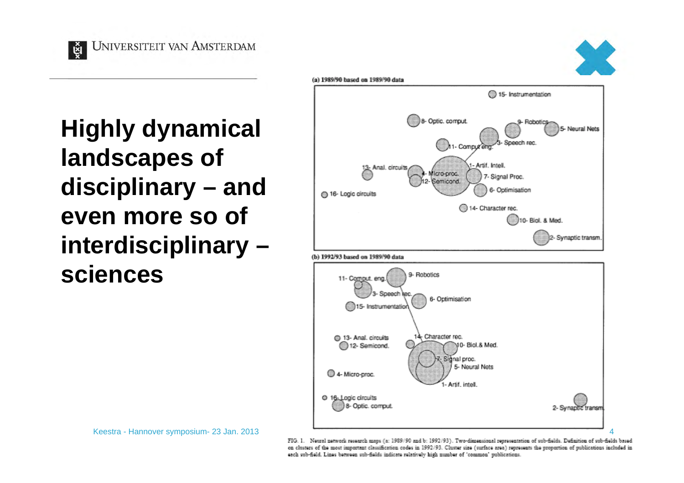ម្ព័ **UNIVERSITEIT VAN AMSTERDAM** 



**Highly dynamical landscapes of disciplinary – and even more so of interdisciplinary – sciences** 





Keestra - Hannover symposium- 23 Jan. 2013

FIG. 1. Neural network research maps (a: 1989/90 and b: 1992/93). Two-dimensional representation of sub-fields. Definition of sub-fields based on clusters of the most important classification codes in 1992/93. Cluster size (surface area) represents the proportion of publications included in each sub-field. Lines between sub-fields indicate relatively high number of 'common' publications.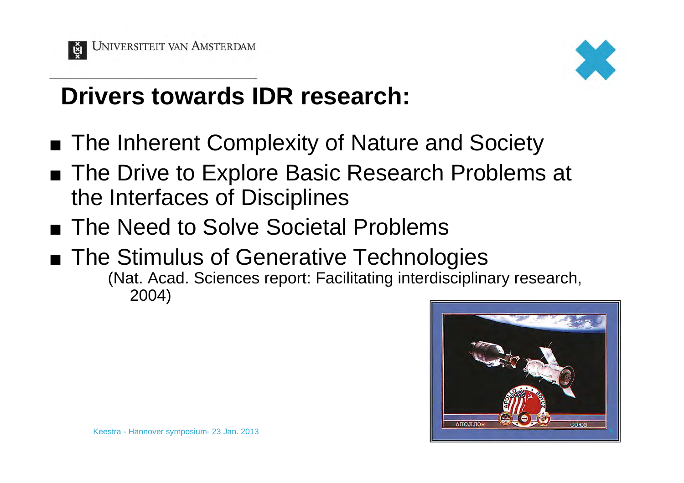



#### **Drivers towards IDR research:**

- The Inherent Complexity of Nature and Society
- The Drive to Explore Basic Research Problems at the Interfaces of Disciplines
- The Need to Solve Societal Problems
- The Stimulus of Generative Technologies (Nat. Acad. Sciences report: Facilitating interdisciplinary research, 2004)

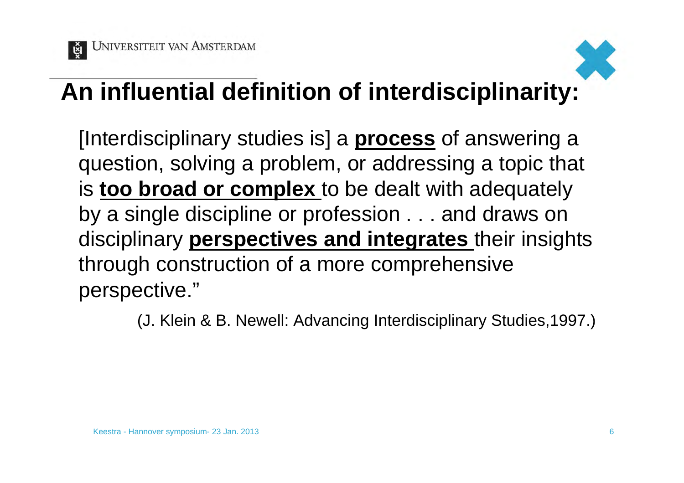



## **An influential definition of interdisciplinarity:**

[Interdisciplinary studies is] a **process** of answering a question, solving a problem, or addressing a topic that is **too broad or complex** to be dealt with adequately by a single discipline or profession . . . and draws on disciplinary **perspectives and integrates** their insights through construction of a more comprehensive perspective."

(J. Klein & B. Newell: Advancing Interdisciplinary Studies,1997.)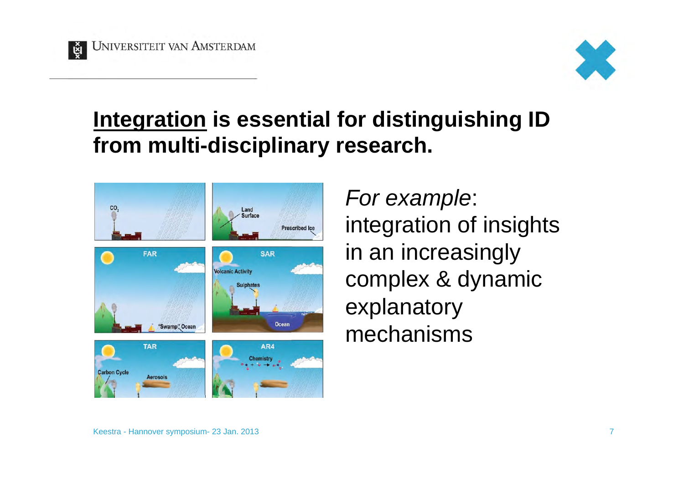



#### **Integration is essential for distinguishing ID from multi-disciplinary research.**



*For example*: integration of insights in an increasingly complex & dynamic explanatory mechanisms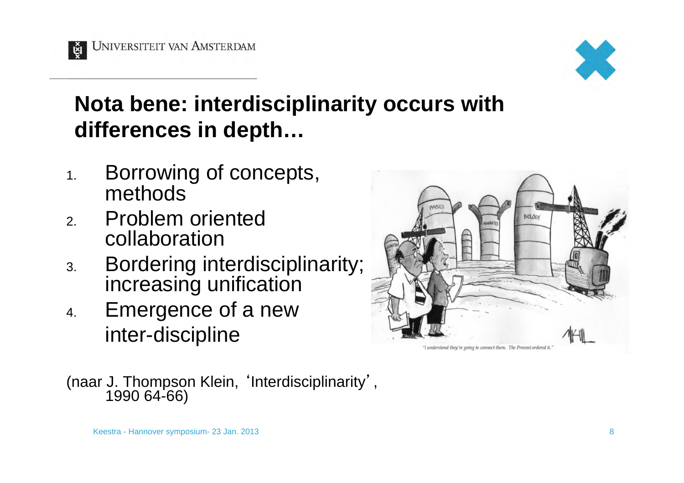

#### **Nota bene: interdisciplinarity occurs with differences in depth…**

- 1. Borrowing of concepts, methods
- 2. Problem oriented collaboration
- 3. Bordering interdisciplinarity; increasing unification
- 4. Emergence of a new inter-discipline



"I understand they're going to connect them. The Provost ordered it

(naar J. Thompson Klein, 'Interdisciplinarity' , 1990 64-66)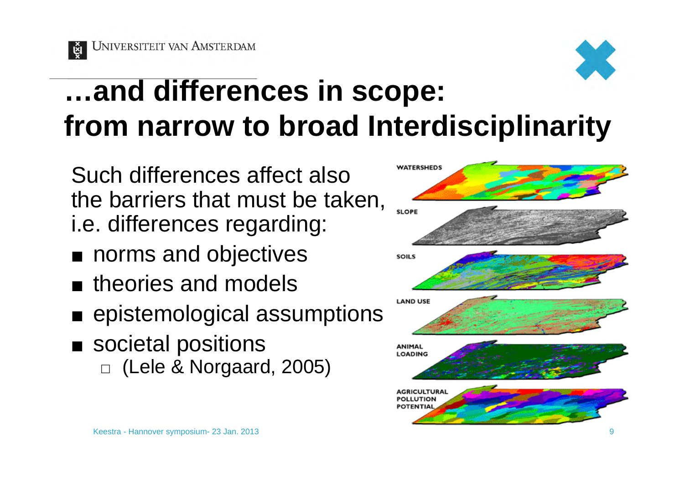্ট্র



# **…and differences in scope: from narrow to broad Interdisciplinarity**

Such differences affect also the barriers that must be taken, i.e. differences regarding:

- norms and objectives
- $\blacksquare$  theories and models
- epistemological assumptions
- societal positions  $\Box$  (Lele & Norgaard, 2005)

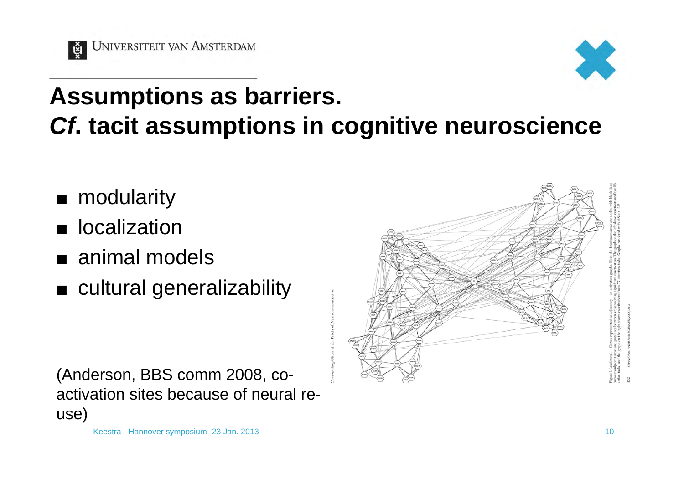

## **Assumptions as barriers.**  *Cf***. tacit assumptions in cognitive neuroscience**

- modularity
- **u** localization
- animal models
- cultural generalizability

(Anderson, BBS comm 2008, coactivation sites because of neural reuse)

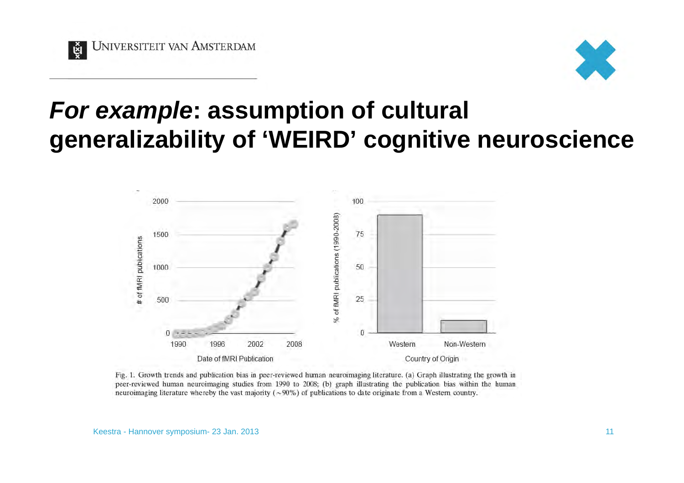



#### *For example***: assumption of cultural generalizability of 'WEIRD' cognitive neuroscience**



Fig. 1. Growth trends and publication bias in peer-reviewed human neuroimaging literature. (a) Graph illustrating the growth in peer-reviewed human neuroimaging studies from 1990 to 2008; (b) graph illustrating the publication bias within the human neuroimaging literature whereby the vast majority ( $\sim$ 90%) of publications to date originate from a Western country.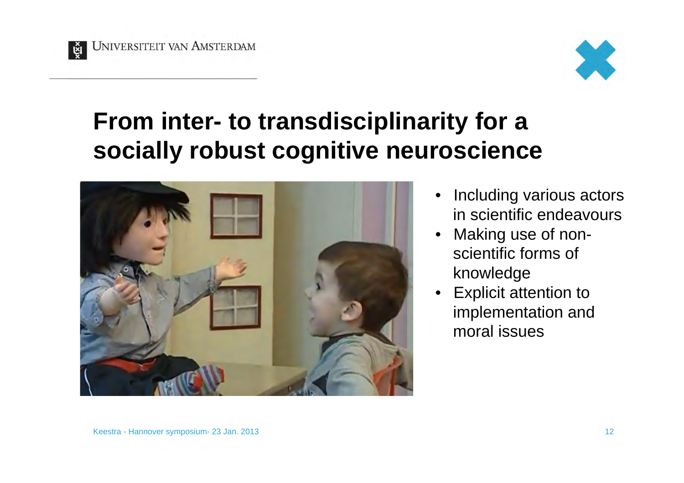



#### **From inter- to transdisciplinarity for a socially robust cognitive neuroscience**



- Including various actors in scientific endeavours
- Making use of nonscientific forms of knowledge
- Explicit attention to implementation and moral issues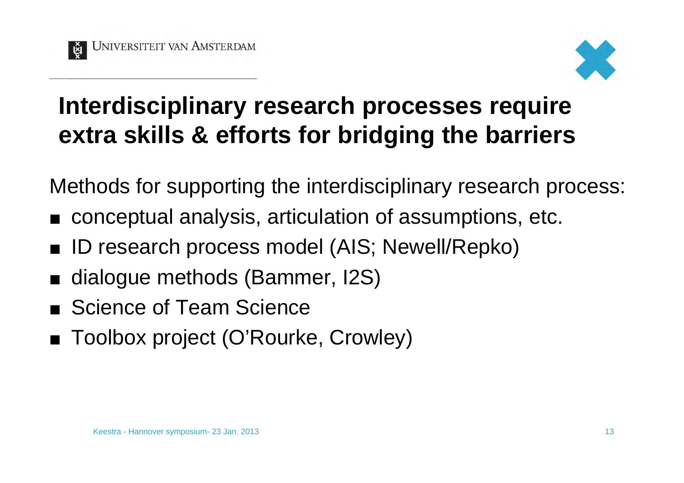

#### **Interdisciplinary research processes require extra skills & efforts for bridging the barriers**

Methods for supporting the interdisciplinary research process:

- conceptual analysis, articulation of assumptions, etc.
- ID research process model (AIS; Newell/Repko)
- ¢ dialogue methods (Bammer, I2S)
- Science of Team Science
- Toolbox project (O'Rourke, Crowley)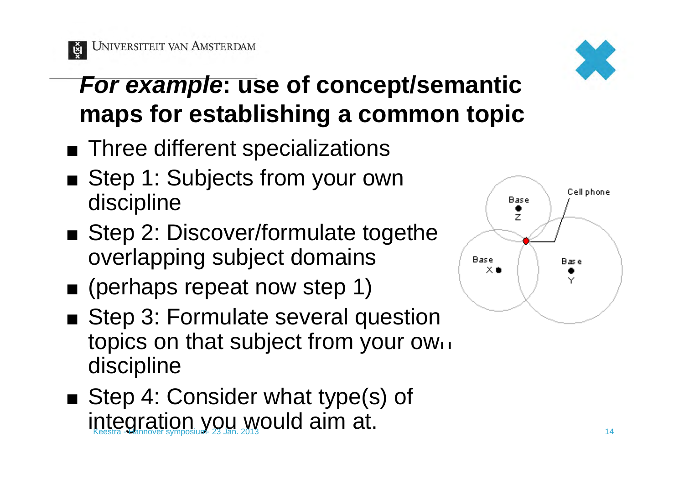



### *For example***: use of concept/semantic maps for establishing a common topic**

- Three different specializations
- Step 1: Subjects from your own discipline
- $\blacksquare$  Step 2: Discover/formulate togetheroverlapping subject domains
- (perhaps repeat now step 1)
- Step 3: Formulate several question topics on that subject from your own discipline
- Step 4: Consider what type(s) of integration you would aim at.  $\frac{1}{14}$

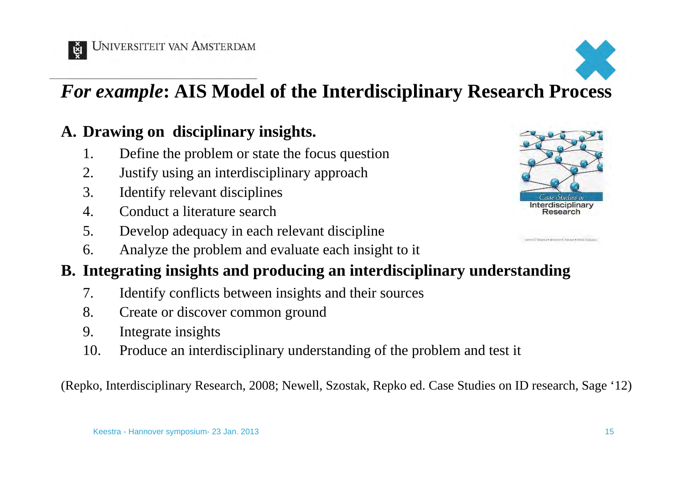



#### *For example***: AIS Model of the Interdisciplinary Research Process**

#### **A. Drawing on disciplinary insights.**

- 1. Define the problem or state the focus question
- 2. Justify using an interdisciplinary approach
- 3. Identify relevant disciplines
- 4. Conduct a literature search
- 5. Develop adequacy in each relevant discipline
- 6. Analyze the problem and evaluate each insight to it

#### **B. Integrating insights and producing an interdisciplinary understanding**

- 7. Identify conflicts between insights and their sources
- 8. Create or discover common ground
- 9. Integrate insights
- 10. Produce an interdisciplinary understanding of the problem and test it

(Repko, Interdisciplinary Research, 2008; Newell, Szostak, Repko ed. Case Studies on ID research, Sage '12)



Men E Replay William H. News . Fred Steats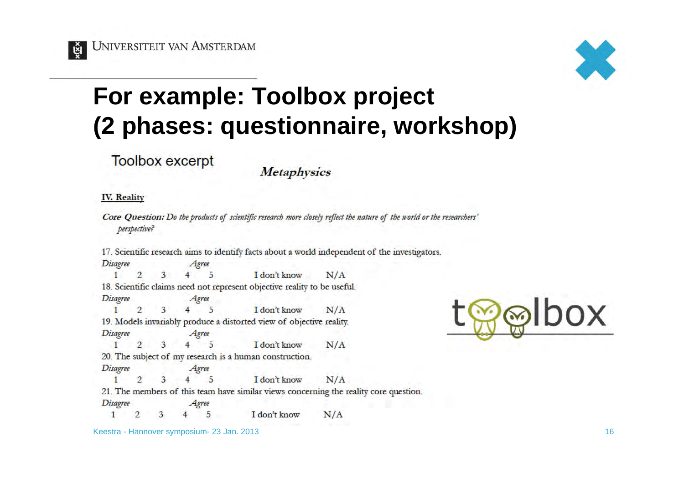**UNIVERSITEIT VAN AMSTERDAM** 



#### **For example: Toolbox project (2 phases: questionnaire, workshop)**

**Toolbox excerpt** 

**Metaphysics** 

#### **IV.** Reality

ğı

Core Question: Do the products of scientific research more closely reflect the nature of the world or the researchers' perspective?

17. Scientific research aims to identify facts about a world independent of the investigators.

**Disagree** Agree I don't know  $\overline{2}$  $\overline{3}$  $\overline{4}$ 5  $N/A$ 18. Scientific claims need not represent objective reality to be useful. **Disagree** Agree  $4\overline{5}$  $N/A$  $1$  $\overline{2}$ 3 I don't know 19. Models invariably produce a distorted view of objective reality. **Disagree** Agree  $\overline{2}$ 5  $1$ 3  $\overline{4}$ I don't know  $N/A$ 20. The subject of my research is a human construction. **Disagree** Agree  $N/A$  $\mathcal{D}$ 5 I don't know  $1$ 21. The members of this team have similar views concerning the reality core question. **Disagree** Agree

 $N/A$ 5 I don't know  $1^{\circ}$ 2 3  $\overline{4}$ 



Keestra - Hannover symposium- 23 Jan. 2013 16 November 1988 16 November 1988 16 November 1988 16 November 1988 16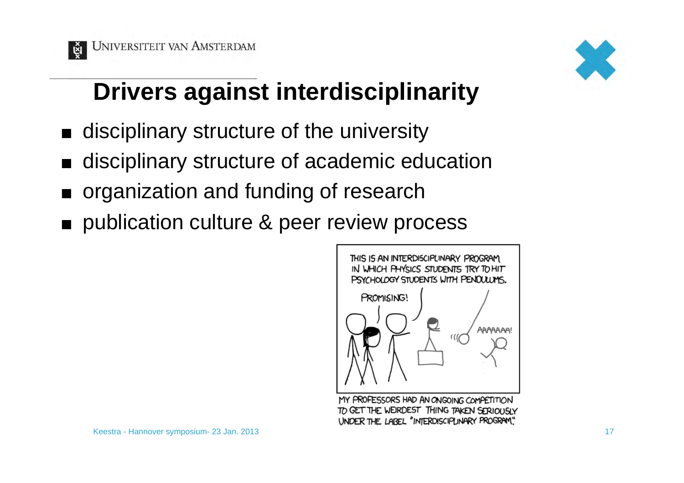



### **Drivers against interdisciplinarity**

- ¢ disciplinary structure of the university
- ¢ disciplinary structure of academic education
- ¢ organization and funding of research
- publication culture & peer review process



MY PROFESSORS HAD AN ONGOING COMPETITION TO GET THE WEIRDEST THING TAKEN SERIOUSLY UNDER THE LABEL "INTERDISCIPLINARY PROGRAM"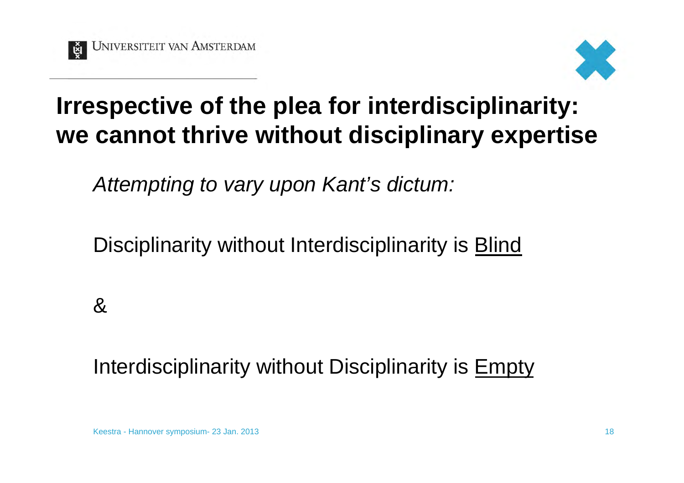



#### **Irrespective of the plea for interdisciplinarity: we cannot thrive without disciplinary expertise**

*Attempting to vary upon Kant's dictum:* 

Disciplinarity without Interdisciplinarity is Blind

&

Interdisciplinarity without Disciplinarity is Empty